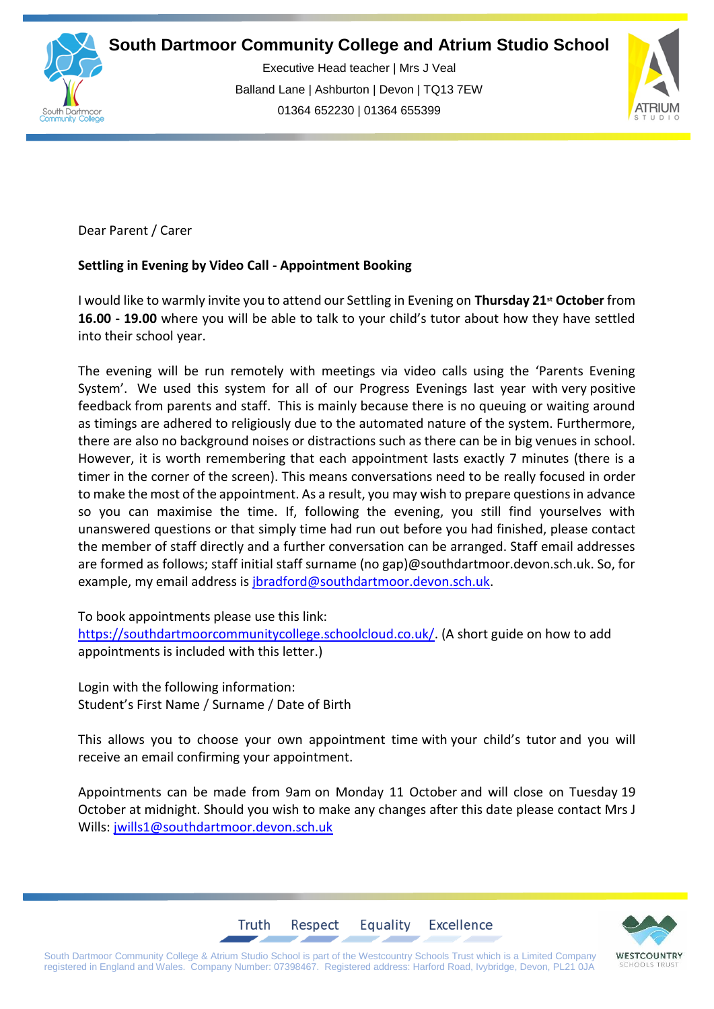



Executive Head teacher | Mrs J Veal Balland Lane | Ashburton | Devon | TQ13 7EW 01364 652230 | 01364 655399



Dear Parent / Carer  

## **Settling in Evening by Video Call - Appointment Booking**

I would like to warmly invite you to attend our Settling in Evening on **Thursday 21st October** from **16.00 - 19.00** where you will be able to talk to your child's tutor about how they have settled into their school year.

The evening will be run remotely with meetings via video calls using the 'Parents Evening System'. We used this system for all of our Progress Evenings last year with very positive feedback from parents and staff. This is mainly because there is no queuing or waiting around as timings are adhered to religiously due to the automated nature of the system. Furthermore, there are also no background noises or distractions such as there can be in big venues in school. However, it is worth remembering that each appointment lasts exactly 7 minutes (there is a timer in the corner of the screen). This means conversations need to be really focused in order to make the most of the appointment. As a result, you may wish to prepare questions in advance so you can maximise the time. If, following the evening, you still find yourselves with unanswered questions or that simply time had run out before you had finished, please contact the member of staff directly and a further conversation can be arranged. Staff email addresses are formed as follows; staff initial staff surname (no gap)@southdartmoor.devon.sch.uk. So, for example, my email address is [jbradford@southdartmoor.devon.sch.uk.](mailto:jbradford@southdartmoor.devon.sch.uk)

To book appointments please use this link:

[https://southdartmoorcommunitycollege.schoolcloud.co.uk/.](https://southdartmoorcommunitycollege.schoolcloud.co.uk/) (A short guide on how to add appointments is included with this letter.)

Login with the following information: Student's First Name / Surname / Date of Birth

This allows you to choose your own appointment time with your child's tutor and you will receive an email confirming your appointment.

Appointments can be made from 9am on Monday 11 October and will close on Tuesday 19 October at midnight. Should you wish to make any changes after this date please contact Mrs J Wills: [jwills1@southdartmoor.devon.sch.uk](mailto:jwills1@southdartmoor.devon.sch.uk)

Equality

Excellence



South Dartmoor Community College & Atrium Studio School is part of the Westcountry Schools Trust which is a Limited Company registered in England and Wales. Company Number: 07398467. Registered address: Harford Road, Ivybridge, Devon, PL21 0JA

Respect

Truth